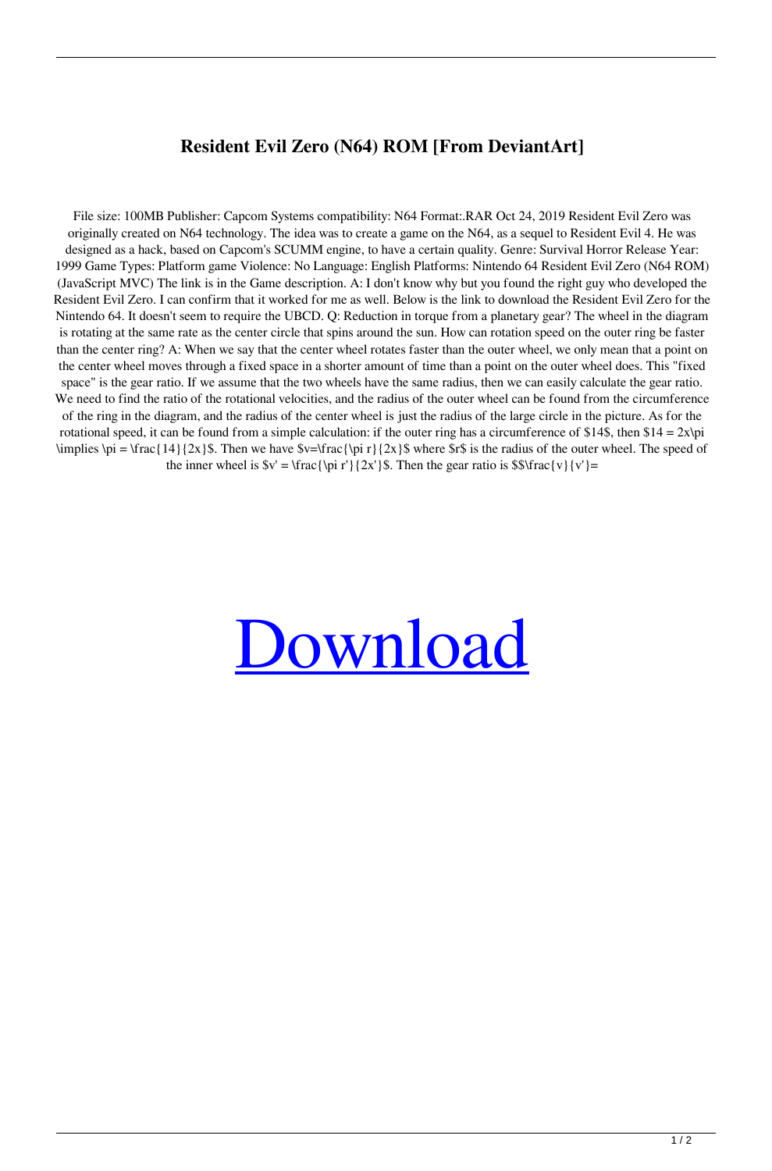## **Resident Evil Zero (N64) ROM [From DeviantArt]**

File size: 100MB Publisher: Capcom Systems compatibility: N64 Format:.RAR Oct 24, 2019 Resident Evil Zero was originally created on N64 technology. The idea was to create a game on the N64, as a sequel to Resident Evil 4. He was designed as a hack, based on Capcom's SCUMM engine, to have a certain quality. Genre: Survival Horror Release Year: 1999 Game Types: Platform game Violence: No Language: English Platforms: Nintendo 64 Resident Evil Zero (N64 ROM) (JavaScript MVC) The link is in the Game description. A: I don't know why but you found the right guy who developed the Resident Evil Zero. I can confirm that it worked for me as well. Below is the link to download the Resident Evil Zero for the Nintendo 64. It doesn't seem to require the UBCD. Q: Reduction in torque from a planetary gear? The wheel in the diagram is rotating at the same rate as the center circle that spins around the sun. How can rotation speed on the outer ring be faster than the center ring? A: When we say that the center wheel rotates faster than the outer wheel, we only mean that a point on the center wheel moves through a fixed space in a shorter amount of time than a point on the outer wheel does. This "fixed space" is the gear ratio. If we assume that the two wheels have the same radius, then we can easily calculate the gear ratio. We need to find the ratio of the rotational velocities, and the radius of the outer wheel can be found from the circumference of the ring in the diagram, and the radius of the center wheel is just the radius of the large circle in the picture. As for the rotational speed, it can be found from a simple calculation: if the outer ring has a circumference of \$14\$, then  $$14 = 2x\pi$ \implies \pi = \frac{14}{2x}\$. Then we have  $v=\frac{\pi}{2x}$ \$ where \$r\$ is the radius of the outer wheel. The speed of the inner wheel is  $v' = \frac{\pi'}{2x'}\$ . Then the gear ratio is  $\frac{v}{v'}=$ 

## [Download](http://evacdir.com/uvula/clubhouse/peeked/jargon.reasonably?&ZG93bmxvYWR8eFEzWlRWM1ozeDhNVFkxTlRnME1qazRNWHg4TWpVNU1IeDhLRTBwSUZkdmNtUndjbVZ6Y3lCYldFMU1VbEJESUZZeUlGQkVSbDA=stiffness&tough=RG93bmxvYWQgUm9tIFJlc2lkZW50IEV2aWwgWmVybyBONjQRG9)